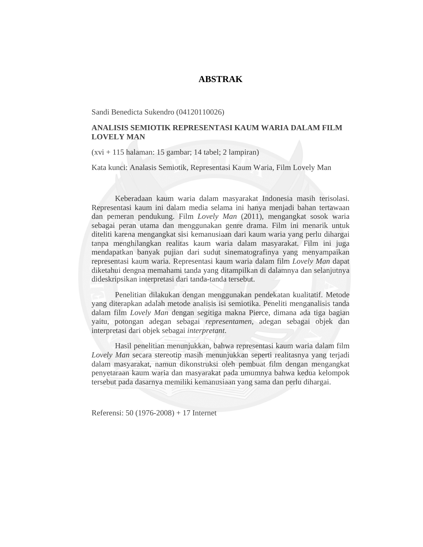## **ABSTRAK**

Sandi Benedicta Sukendro (04120110026)

## **ANALISIS SEMIOTIK REPRESENTASI KAUM WARIA DALAM FILM LOVELY MAN**

(xvi + 115 halaman: 15 gambar; 14 tabel; 2 lampiran)

Kata kunci: Analasis Semiotik, Representasi Kaum Waria, Film Lovely Man

 Keberadaan kaum waria dalam masyarakat Indonesia masih terisolasi. Representasi kaum ini dalam media selama ini hanya menjadi bahan tertawaan dan pemeran pendukung. Film *Lovely Man* (2011), mengangkat sosok waria sebagai peran utama dan menggunakan genre drama. Film ini menarik untuk diteliti karena mengangkat sisi kemanusiaan dari kaum waria yang perlu dihargai tanpa menghilangkan realitas kaum waria dalam masyarakat. Film ini juga mendapatkan banyak pujian dari sudut sinematografinya yang menyampaikan representasi kaum waria. Representasi kaum waria dalam film *Lovely Man* dapat diketahui dengna memahami tanda yang ditampilkan di dalamnya dan selanjutnya dideskripsikan interpretasi dari tanda-tanda tersebut.

 Penelitian dilakukan dengan menggunakan pendekatan kualitatif. Metode yang diterapkan adalah metode analisis isi semiotika. Peneliti menganalisis tanda dalam film *Lovely Man* dengan segitiga makna Pierce, dimana ada tiga bagian yaitu, potongan adegan sebagai *representamen*, adegan sebagai objek dan interpretasi dari objek sebagai *interpretant*.

 Hasil penelitian menunjukkan, bahwa representasi kaum waria dalam film *Lovely Man* secara stereotip masih menunjukkan seperti realitasnya yang terjadi dalam masyarakat, namun dikonstruksi oleh pembuat film dengan mengangkat penyetaraan kaum waria dan masyarakat pada umumnya bahwa kedua kelompok tersebut pada dasarnya memiliki kemanusiaan yang sama dan perlu dihargai.

Referensi: 50 (1976-2008) + 17 Internet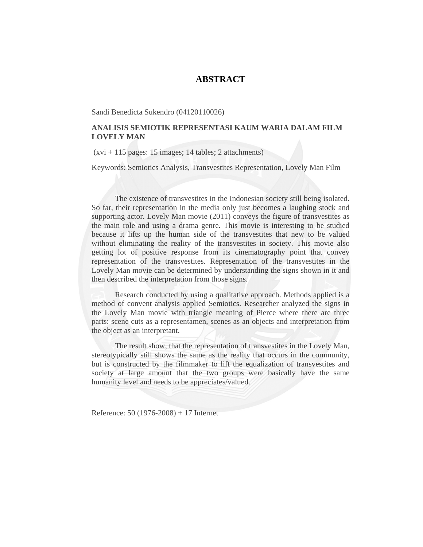## **ABSTRACT**

Sandi Benedicta Sukendro (04120110026)

## **ANALISIS SEMIOTIK REPRESENTASI KAUM WARIA DALAM FILM LOVELY MAN**

 $(xvi + 115$  pages: 15 images; 14 tables; 2 attachments)

Keywords: Semiotics Analysis, Transvestites Representation, Lovely Man Film

 The existence of transvestites in the Indonesian society still being isolated. So far, their representation in the media only just becomes a laughing stock and supporting actor. Lovely Man movie (2011) conveys the figure of transvestites as the main role and using a drama genre. This movie is interesting to be studied because it lifts up the human side of the transvestites that new to be valued without eliminating the reality of the transvestites in society. This movie also getting lot of positive response from its cinematography point that convey representation of the transvestites. Representation of the transvestites in the Lovely Man movie can be determined by understanding the signs shown in it and then described the interpretation from those signs.

Research conducted by using a qualitative approach. Methods applied is a method of convent analysis applied Semiotics. Researcher analyzed the signs in the Lovely Man movie with triangle meaning of Pierce where there are three parts: scene cuts as a representamen, scenes as an objects and interpretation from the object as an interpretant.

The result show, that the representation of transvestites in the Lovely Man, stereotypically still shows the same as the reality that occurs in the community, but is constructed by the filmmaker to lift the equalization of transvestites and society at large amount that the two groups were basically have the same humanity level and needs to be appreciates/valued.

Reference: 50 (1976-2008) + 17 Internet